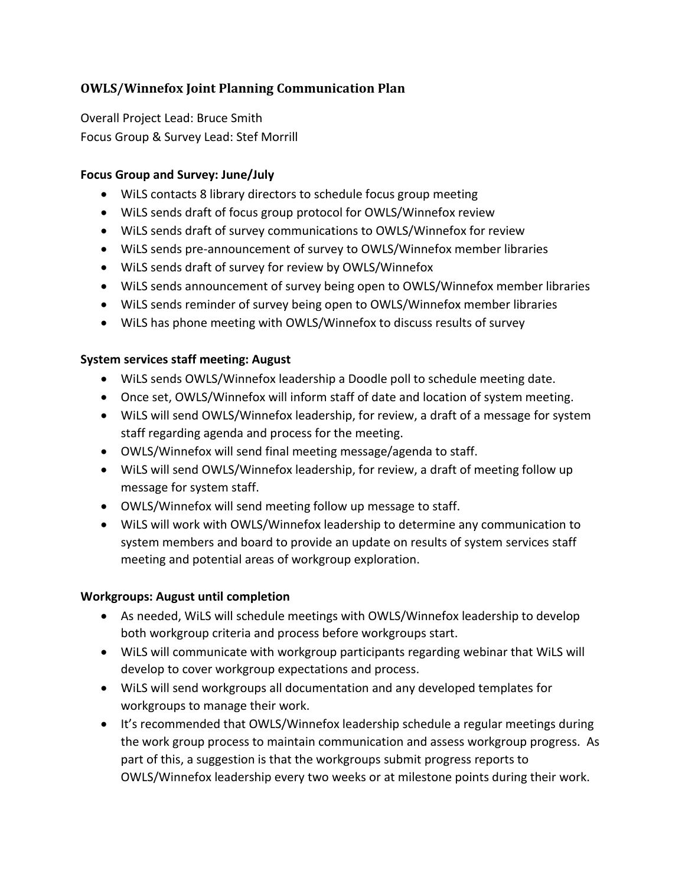# **OWLS/Winnefox Joint Planning Communication Plan**

Overall Project Lead: Bruce Smith Focus Group & Survey Lead: Stef Morrill

### **Focus Group and Survey: June/July**

- WiLS contacts 8 library directors to schedule focus group meeting
- WiLS sends draft of focus group protocol for OWLS/Winnefox review
- WiLS sends draft of survey communications to OWLS/Winnefox for review
- WiLS sends pre-announcement of survey to OWLS/Winnefox member libraries
- WiLS sends draft of survey for review by OWLS/Winnefox
- WiLS sends announcement of survey being open to OWLS/Winnefox member libraries
- WiLS sends reminder of survey being open to OWLS/Winnefox member libraries
- WiLS has phone meeting with OWLS/Winnefox to discuss results of survey

### **System services staff meeting: August**

- WiLS sends OWLS/Winnefox leadership a Doodle poll to schedule meeting date.
- Once set, OWLS/Winnefox will inform staff of date and location of system meeting.
- WiLS will send OWLS/Winnefox leadership, for review, a draft of a message for system staff regarding agenda and process for the meeting.
- OWLS/Winnefox will send final meeting message/agenda to staff.
- WiLS will send OWLS/Winnefox leadership, for review, a draft of meeting follow up message for system staff.
- OWLS/Winnefox will send meeting follow up message to staff.
- WiLS will work with OWLS/Winnefox leadership to determine any communication to system members and board to provide an update on results of system services staff meeting and potential areas of workgroup exploration.

### **Workgroups: August until completion**

- As needed, WiLS will schedule meetings with OWLS/Winnefox leadership to develop both workgroup criteria and process before workgroups start.
- WiLS will communicate with workgroup participants regarding webinar that WiLS will develop to cover workgroup expectations and process.
- WiLS will send workgroups all documentation and any developed templates for workgroups to manage their work.
- It's recommended that OWLS/Winnefox leadership schedule a regular meetings during the work group process to maintain communication and assess workgroup progress. As part of this, a suggestion is that the workgroups submit progress reports to OWLS/Winnefox leadership every two weeks or at milestone points during their work.